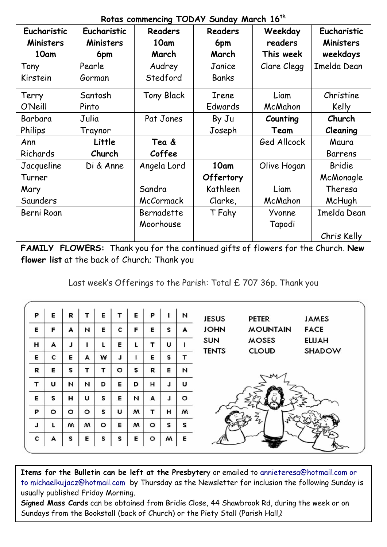|                  |             | NOTES COMMERCING TOOA? OUNCEY ME CH 10 |                |             |                  |
|------------------|-------------|----------------------------------------|----------------|-------------|------------------|
| Eucharistic      | Eucharistic | Readers                                | <b>Readers</b> | Weekday     | Eucharistic      |
| <b>Ministers</b> | Ministers   | 10am                                   | 6pm            | readers     | <b>Ministers</b> |
| 10am             | 6pm         | March                                  | March          | This week   | weekdays         |
| Tony             | Pearle      | Audrey                                 | Janice         | Clare Clegg | Imelda Dean      |
| Kirstein         | Gorman      | Stedford                               | Banks          |             |                  |
| Terry            | Santosh     | <b>Tony Black</b>                      | Irene          | Liam        | Christine        |
| O'Neill          | Pinto       |                                        | Edwards        | McMahon     | Kelly            |
| Barbara          | Julia       | Pat Jones                              | By Ju          | Counting    | Church           |
| Philips          | Traynor     |                                        | Joseph         | Team        | Cleaning         |
| Ann              | Little      | Tea &                                  |                | Ged Allcock | Maura            |
| Richards         | Church      | Coffee                                 |                |             | Barrens          |
| Jacqueline       | Di & Anne   | Angela Lord                            | 10am           | Olive Hogan | Bridie           |
| Turner           |             |                                        | Offertory      |             | McMonagle        |
| Mary             |             | Sandra                                 | Kathleen       | Liam        | Theresa          |
| Saunders         |             | McCormack                              | Clarke,        | McMahon     | McHugh           |
| Berni Roan       |             | Bernadette                             | T Fahy         | Yvonne      | Imelda Dean      |
|                  |             | Moorhouse                              |                | Tapodi      |                  |
|                  |             |                                        |                |             | Chris Kelly      |

**Rotas commencing TODAY Sunday March 16th**

**FAMILY FLOWERS:** Thank you for the continued gifts of flowers for the Church. **New flower list** at the back of Church; Thank you

Last week's Offerings to the Parish: Total £ 707 36p. Thank you

| P | E       | R       |         | Е       | т       | E | P       |   | N       | <b>JESUS</b><br><b>PETER</b><br><b>JAMES</b>  |
|---|---------|---------|---------|---------|---------|---|---------|---|---------|-----------------------------------------------|
| Е | F       | A       | И       | E       | c       | F | Е       | s | A       | <b>JOHN</b><br><b>MOUNTAIN</b><br><b>FACE</b> |
| н | A       | J       |         |         | Е       | L |         | U |         | <b>ELIJAH</b><br><b>SUN</b><br><b>MOSES</b>   |
| Е | c       | Е       | A       | w       | J       |   | Е       | s |         | <b>TENTS</b><br>SHADOW<br><b>CLOUD</b>        |
| R | Е       | s       | т       | т       | $\circ$ | S | R       | Е | N       |                                               |
| т | U       | N       | И       | D       | Е       | D | н       | L | U       |                                               |
| Е | s       | н       | U       | s       | Е       | И | A       | J | $\circ$ |                                               |
| P | $\circ$ | $\circ$ | $\circ$ | s       | U       | w | т       | н | w       | ξ                                             |
| J | L       | м       | м       | $\circ$ | Е       | w | $\circ$ | s | s       |                                               |
| с | A       | s       | E       | s       | s       | E | $\circ$ | w | Е       |                                               |
|   |         |         |         |         |         |   |         |   |         |                                               |

**Items for the Bulletin can be left at the Presbyter**y or emailed to [annieteresa@hotmail.com or](mailto:annieteresa@hotmail.com%20or%20to%20michaelkujacz@hotmail.com%20%20b)  [to michaelkujacz@hotmail.com by](mailto:annieteresa@hotmail.com%20or%20to%20michaelkujacz@hotmail.com%20%20b) Thursday as the Newsletter for inclusion the following Sunday is usually published Friday Morning.

**Signed Mass Cards** can be obtained from Bridie Close, 44 Shawbrook Rd, during the week or on Sundays from the Bookstall (back of Church) or the Piety Stall (Parish Hall).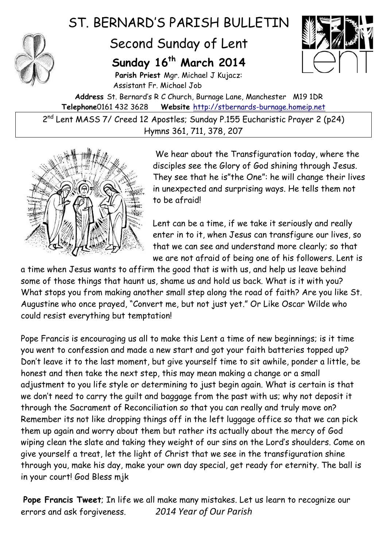

## ST. BERNARD'S PARISH BULLETIN

## Second Sunday of Lent

## **Sunday 16th March 2014**

**Parish Priest** Mgr. Michael J Kujacz: Assistant Fr. Michael Job



**Address** St. Bernard's R C Church, Burnage Lane, Manchester M19 1DR **Telephone**0161 432 3628 **Website** [http://stbernards-burnage.homeip.net](http://stbernards-burnage.homeip.net/)

2<sup>nd</sup> Lent MASS 7/ Creed 12 Apostles; Sunday P.155 Eucharistic Prayer 2 (p24) Hymns 361, 711, 378, 207



We hear about the Transfiguration today, where the disciples see the Glory of God shining through Jesus. They see that he is"the One": he will change their lives in unexpected and surprising ways. He tells them not to be afraid!

Lent can be a time, if we take it seriously and really enter in to it, when Jesus can transfigure our lives, so that we can see and understand more clearly; so that we are not afraid of being one of his followers. Lent is

a time when Jesus wants to affirm the good that is with us, and help us leave behind some of those things that haunt us, shame us and hold us back. What is it with you? What stops you from making another small step along the road of faith? Are you like St. Augustine who once prayed, "Convert me, but not just yet." Or Like Oscar Wilde who could resist everything but temptation!

Pope Francis is encouraging us all to make this Lent a time of new beginnings; is it time you went to confession and made a new start and got your faith batteries topped up? Don't leave it to the last moment, but give yourself time to sit awhile, ponder a little, be honest and then take the next step, this may mean making a change or a small adjustment to you life style or determining to just begin again. What is certain is that we don't need to carry the guilt and baggage from the past with us; why not deposit it through the Sacrament of Reconciliation so that you can really and truly move on? Remember its not like dropping things off in the left luggage office so that we can pick them up again and worry about them but rather its actually about the mercy of God wiping clean the slate and taking they weight of our sins on the Lord's shoulders. Come on give yourself a treat, let the light of Christ that we see in the transfiguration shine through you, make his day, make your own day special, get ready for eternity. The ball is in your court! God Bless mjk

**Pope Francis Tweet**; In life we all make many mistakes. Let us learn to recognize our errors and ask forgiveness. *2014 Year of Our Parish*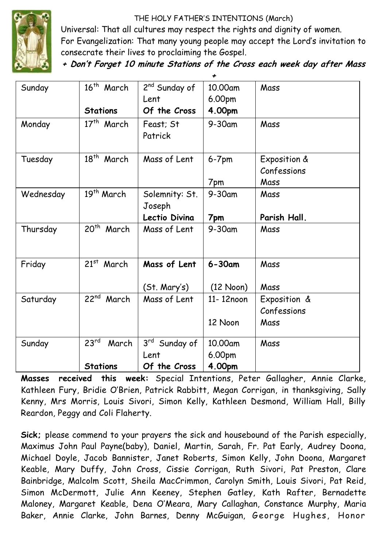THE HOLY FATHER'S INTENTIONS (March)



Universal: That all cultures may respect the rights and dignity of women. For Evangelization: That many young people may accept the Lord's invitation to consecrate their lives to proclaiming the Gospel.

**+ Don't Forget 10 minute Stations of the Cross each week day after Mass** 

| Sunday    | 16 <sup>th</sup> March    | 2 <sup>nd</sup> Sunday of | 10.00am             | Mass         |
|-----------|---------------------------|---------------------------|---------------------|--------------|
|           |                           | Lent                      | 6.00pm              |              |
|           | <b>Stations</b>           | Of the Cross              | 4.00pm              |              |
| Monday    | 17 <sup>th</sup> March    | Feast; St                 | 9-30am              | Mass         |
|           |                           | Patrick                   |                     |              |
| Tuesday   | $18^{th}$<br>March        | Mass of Lent              | $6-7$ pm            | Exposition & |
|           |                           |                           |                     | Confessions  |
|           |                           |                           | 7pm                 | Mass         |
| Wednesday | 19th March                | Solemnity: St.            | 9-30am              | Mass         |
|           |                           | Joseph                    |                     |              |
|           |                           | Lectio Divina             | 7pm                 | Parish Hall. |
| Thursday  | 20 <sup>th</sup><br>March | Mass of Lent              | 9-30am              | Mass         |
|           |                           |                           |                     |              |
| Friday    | $21^{st}$<br>March        | Mass of Lent              | $6 - 30$ am         | Mass         |
|           |                           |                           |                     |              |
|           |                           | (St. Mary's)              | $(12 \text{ Noon})$ | Mass         |
| Saturday  | $22^{nd}$<br>March        | Mass of Lent              | 11-12noon           | Exposition & |
|           |                           |                           |                     | Confessions  |
|           |                           |                           | 12 Noon             | Mass         |
| Sunday    | 23 <sup>rd</sup><br>March | 3rd Sunday of             | 10.00am             | Mass         |
|           |                           | Lent                      | 6.00pm              |              |
|           | <b>Stations</b>           | Of the Cross              | 4.00pm              |              |

**Masses received this week:** Special Intentions, Peter Gallagher, Annie Clarke, Kathleen Fury, Bridie O'Brien, Patrick Rabbitt, Megan Corrigan, in thanksgiving, Sally Kenny, Mrs Morris, Louis Sivori, Simon Kelly, Kathleen Desmond, William Hall, Billy Reardon, Peggy and Coli Flaherty.

**Sick;** please commend to your prayers the sick and housebound of the Parish especially, Maximus John Paul Payne(baby), Daniel, Martin, Sarah, Fr. Pat Early, Audrey Doona, Michael Doyle, Jacob Bannister, Janet Roberts, Simon Kelly, John Doona, Margaret Keable, Mary Duffy, John Cross, Cissie Corrigan, Ruth Sivori, Pat Preston, Clare Bainbridge, Malcolm Scott, Sheila MacCrimmon, Carolyn Smith, Louis Sivori, Pat Reid, Simon McDermott, Julie Ann Keeney, Stephen Gatley, Kath Rafter, Bernadette Maloney, Margaret Keable, Dena O'Meara, Mary Callaghan, Constance Murphy, Maria Baker, Annie Clarke, John Barnes, Denny McGuigan, George Hughes, Honor